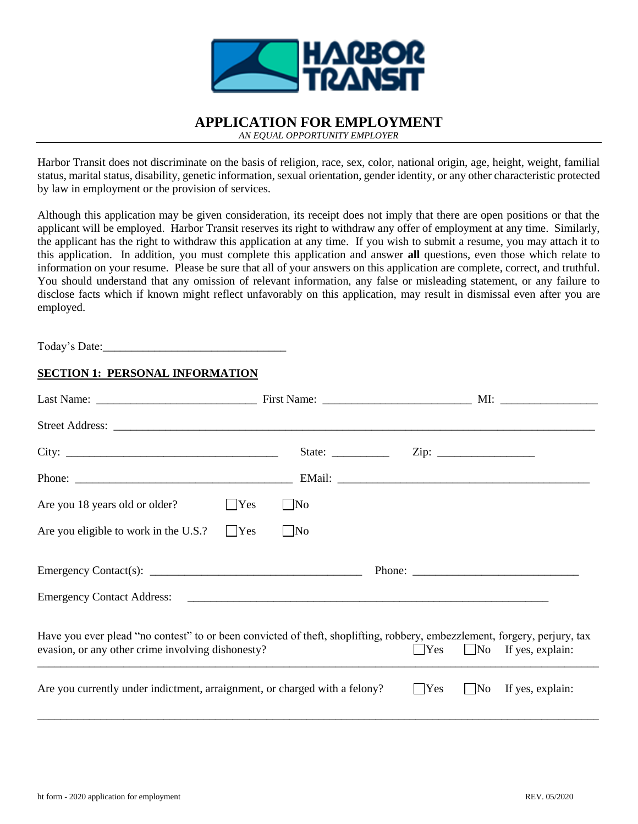

# **APPLICATION FOR EMPLOYMENT**

*AN EQUAL OPPORTUNITY EMPLOYER*

Harbor Transit does not discriminate on the basis of religion, race, sex, color, national origin, age, height, weight, familial status, marital status, disability, genetic information, sexual orientation, gender identity, or any other characteristic protected by law in employment or the provision of services.

Although this application may be given consideration, its receipt does not imply that there are open positions or that the applicant will be employed. Harbor Transit reserves its right to withdraw any offer of employment at any time. Similarly, the applicant has the right to withdraw this application at any time. If you wish to submit a resume, you may attach it to this application. In addition, you must complete this application and answer **all** questions, even those which relate to information on your resume. Please be sure that all of your answers on this application are complete, correct, and truthful. You should understand that any omission of relevant information, any false or misleading statement, or any failure to disclose facts which if known might reflect unfavorably on this application, may result in dismissal even after you are employed.

Today's Date:

### **SECTION 1: PERSONAL INFORMATION**

|                                                                                                                                                                                | State: $\frac{ }{ }$ |                        |                                       |
|--------------------------------------------------------------------------------------------------------------------------------------------------------------------------------|----------------------|------------------------|---------------------------------------|
|                                                                                                                                                                                |                      |                        |                                       |
| $\vert$ Yes<br>Are you 18 years old or older?                                                                                                                                  | $\Box$ No            |                        |                                       |
| $\blacksquare$ Yes<br>Are you eligible to work in the U.S.?                                                                                                                    | $\Box$ No            |                        |                                       |
| Emergency Contact(s): $\frac{1}{\sqrt{1-\frac{1}{2}} \cdot \frac{1}{2}}$                                                                                                       |                      | Phone: $\qquad \qquad$ |                                       |
|                                                                                                                                                                                |                      |                        |                                       |
| Have you ever plead "no contest" to or been convicted of theft, shoplifting, robbery, embezzlement, forgery, perjury, tax<br>evasion, or any other crime involving dishonesty? |                      |                        | $\Box$ Yes $\Box$ No If yes, explain: |
| Are you currently under indictment, arraignment, or charged with a felony?                                                                                                     |                      | $\Box$ Yes             | $\Box$ No If yes, explain:            |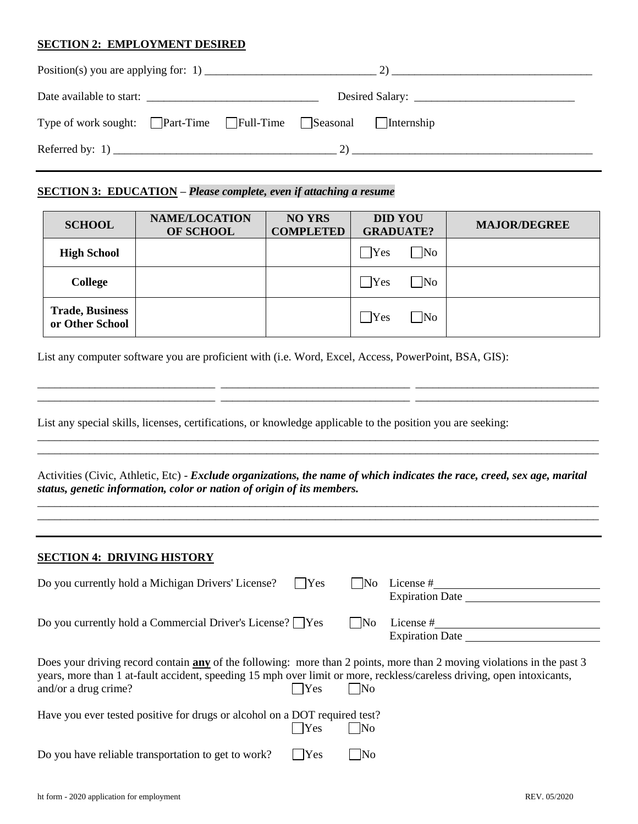#### **SECTION 2: EMPLOYMENT DESIRED**

| Date available to start:                                                                 |  |
|------------------------------------------------------------------------------------------|--|
| Type of work sought: $\Box$ Part-Time $\Box$ Full-Time $\Box$ Seasonal $\Box$ Internship |  |
|                                                                                          |  |

## **SECTION 3: EDUCATION –** *Please complete, even if attaching a resume*

| <b>SCHOOL</b>                             | <b>NAME/LOCATION</b><br>OF SCHOOL | <b>NO YRS</b><br><b>COMPLETED</b> | <b>DID YOU</b><br><b>GRADUATE?</b>      | <b>MAJOR/DEGREE</b> |
|-------------------------------------------|-----------------------------------|-----------------------------------|-----------------------------------------|---------------------|
| <b>High School</b>                        |                                   |                                   | <b>Yes</b><br>N <sub>0</sub>            |                     |
| <b>College</b>                            |                                   |                                   | $\exists$ Yes<br>$\overline{\text{No}}$ |                     |
| <b>Trade, Business</b><br>or Other School |                                   |                                   | Yes<br>$\overline{\text{No}}$           |                     |

\_\_\_\_\_\_\_\_\_\_\_\_\_\_\_\_\_\_\_\_\_\_\_\_\_\_\_\_\_\_\_ \_\_\_\_\_\_\_\_\_\_\_\_\_\_\_\_\_\_\_\_\_\_\_\_\_\_\_\_\_\_\_\_\_ \_\_\_\_\_\_\_\_\_\_\_\_\_\_\_\_\_\_\_\_\_\_\_\_\_\_\_\_\_\_\_\_ \_\_\_\_\_\_\_\_\_\_\_\_\_\_\_\_\_\_\_\_\_\_\_\_\_\_\_\_\_\_\_ \_\_\_\_\_\_\_\_\_\_\_\_\_\_\_\_\_\_\_\_\_\_\_\_\_\_\_\_\_\_\_\_\_ \_\_\_\_\_\_\_\_\_\_\_\_\_\_\_\_\_\_\_\_\_\_\_\_\_\_\_\_\_\_\_\_

\_\_\_\_\_\_\_\_\_\_\_\_\_\_\_\_\_\_\_\_\_\_\_\_\_\_\_\_\_\_\_\_\_\_\_\_\_\_\_\_\_\_\_\_\_\_\_\_\_\_\_\_\_\_\_\_\_\_\_\_\_\_\_\_\_\_\_\_\_\_\_\_\_\_\_\_\_\_\_\_\_\_\_\_\_\_\_\_\_\_\_\_\_\_\_\_\_\_ \_\_\_\_\_\_\_\_\_\_\_\_\_\_\_\_\_\_\_\_\_\_\_\_\_\_\_\_\_\_\_\_\_\_\_\_\_\_\_\_\_\_\_\_\_\_\_\_\_\_\_\_\_\_\_\_\_\_\_\_\_\_\_\_\_\_\_\_\_\_\_\_\_\_\_\_\_\_\_\_\_\_\_\_\_\_\_\_\_\_\_\_\_\_\_\_\_\_

List any computer software you are proficient with (i.e. Word, Excel, Access, PowerPoint, BSA, GIS):

List any special skills, licenses, certifications, or knowledge applicable to the position you are seeking:

Activities (Civic, Athletic, Etc) - *Exclude organizations, the name of which indicates the race, creed, sex age, marital status, genetic information, color or nation of origin of its members.*

\_\_\_\_\_\_\_\_\_\_\_\_\_\_\_\_\_\_\_\_\_\_\_\_\_\_\_\_\_\_\_\_\_\_\_\_\_\_\_\_\_\_\_\_\_\_\_\_\_\_\_\_\_\_\_\_\_\_\_\_\_\_\_\_\_\_\_\_\_\_\_\_\_\_\_\_\_\_\_\_\_\_\_\_\_\_\_\_\_\_\_\_\_\_\_\_\_\_ \_\_\_\_\_\_\_\_\_\_\_\_\_\_\_\_\_\_\_\_\_\_\_\_\_\_\_\_\_\_\_\_\_\_\_\_\_\_\_\_\_\_\_\_\_\_\_\_\_\_\_\_\_\_\_\_\_\_\_\_\_\_\_\_\_\_\_\_\_\_\_\_\_\_\_\_\_\_\_\_\_\_\_\_\_\_\_\_\_\_\_\_\_\_\_\_\_\_

#### **SECTION 4: DRIVING HISTORY**

| Do you currently hold a Michigan Drivers' License?                                                                                                                                                                                                                       | $\Box$ Yes | l INo                  | License #<br><b>Expiration Date</b> |
|--------------------------------------------------------------------------------------------------------------------------------------------------------------------------------------------------------------------------------------------------------------------------|------------|------------------------|-------------------------------------|
| Do you currently hold a Commercial Driver's License? $\Box$ Yes                                                                                                                                                                                                          |            | N <sub>0</sub>         | License #<br><b>Expiration Date</b> |
| Does your driving record contain any of the following: more than 2 points, more than 2 moving violations in the past 3<br>years, more than 1 at-fault accident, speeding 15 mph over limit or more, reckless/careless driving, open intoxicants,<br>and/or a drug crime? | Yes        | N <sub>0</sub>         |                                     |
| Have you ever tested positive for drugs or alcohol on a DOT required test?                                                                                                                                                                                               | <b>Yes</b> | $\overline{\text{No}}$ |                                     |
| Do you have reliable transportation to get to work?                                                                                                                                                                                                                      | Yes        | $\overline{\rm No}$    |                                     |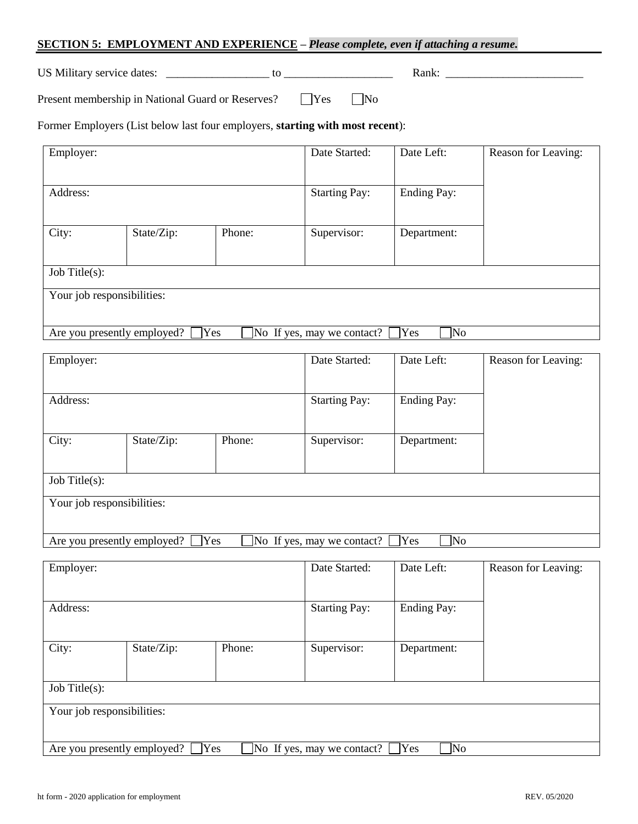# **SECTION 5: EMPLOYMENT AND EXPERIENCE –** *Please complete, even if attaching a resume.*

US Military service dates: \_\_\_\_\_\_\_\_\_\_\_\_\_\_\_\_\_\_ to \_\_\_\_\_\_\_\_\_\_\_\_\_\_\_\_\_\_\_ Rank: \_\_\_\_\_\_\_\_\_\_\_\_\_\_\_\_\_\_\_\_\_\_\_\_

Present membership in National Guard or Reserves? <br>
No No

Former Employers (List below last four employers, **starting with most recent**):

| Employer:                   |            | Date Started: | Date Left:                 | Reason for Leaving: |  |
|-----------------------------|------------|---------------|----------------------------|---------------------|--|
| Address:                    |            |               | <b>Starting Pay:</b>       | <b>Ending Pay:</b>  |  |
| City:                       | State/Zip: | Phone:        | Supervisor:                | Department:         |  |
| Job Title $(s)$ :           |            |               |                            |                     |  |
| Your job responsibilities:  |            |               |                            |                     |  |
| Are you presently employed? | <b>Yes</b> |               | No If yes, may we contact? | Yes<br>]No          |  |

| Employer:                   |            |            | Date Started:              | Date Left:         | Reason for Leaving: |
|-----------------------------|------------|------------|----------------------------|--------------------|---------------------|
| Address:                    |            |            | <b>Starting Pay:</b>       | <b>Ending Pay:</b> |                     |
| City:                       | State/Zip: | Phone:     | Supervisor:                | Department:        |                     |
| Job Title $(s)$ :           |            |            |                            |                    |                     |
| Your job responsibilities:  |            |            |                            |                    |                     |
| Are you presently employed? |            | <b>Yes</b> | No If yes, may we contact? | Yes<br>No]         |                     |

| Employer:                                                                      |            |        | Date Started:        | Date Left:         | Reason for Leaving: |
|--------------------------------------------------------------------------------|------------|--------|----------------------|--------------------|---------------------|
| Address:                                                                       |            |        | <b>Starting Pay:</b> | <b>Ending Pay:</b> |                     |
| City:                                                                          | State/Zip: | Phone: | Supervisor:          | Department:        |                     |
| Job Title $(s)$ :                                                              |            |        |                      |                    |                     |
| Your job responsibilities:                                                     |            |        |                      |                    |                     |
| ]No<br>Yes<br>Yes<br>Are you presently employed?<br>No If yes, may we contact? |            |        |                      |                    |                     |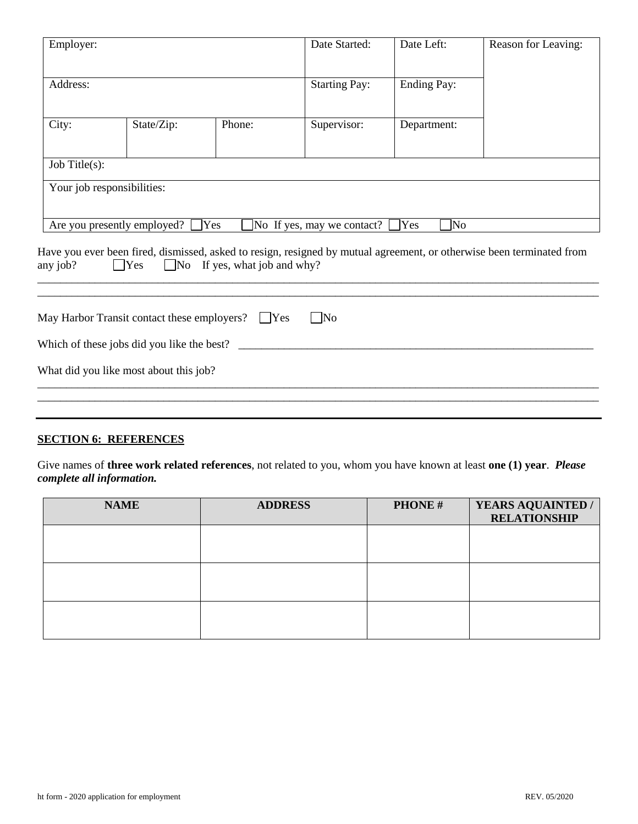| Employer:         |                                                        | Date Started:                       | Date Left:                  | Reason for Leaving: |                                                                                                                       |
|-------------------|--------------------------------------------------------|-------------------------------------|-----------------------------|---------------------|-----------------------------------------------------------------------------------------------------------------------|
| Address:          |                                                        |                                     | <b>Starting Pay:</b>        | <b>Ending Pay:</b>  |                                                                                                                       |
| City:             | State/Zip:                                             | Phone:                              | Supervisor:                 | Department:         |                                                                                                                       |
| Job Title $(s)$ : |                                                        |                                     |                             |                     |                                                                                                                       |
|                   | Your job responsibilities:                             |                                     |                             |                     |                                                                                                                       |
|                   | Are you presently employed?                            | Yes]                                | No If yes, may we contact?  | Yes<br>No]          |                                                                                                                       |
| any job?          | $\Box$ Yes                                             | $\Box$ No If yes, what job and why? |                             |                     | Have you ever been fired, dismissed, asked to resign, resigned by mutual agreement, or otherwise been terminated from |
|                   | May Harbor Transit contact these employers? $\Box$ Yes |                                     | $\overline{\phantom{1}}$ No |                     |                                                                                                                       |
|                   | Which of these jobs did you like the best?             |                                     |                             |                     |                                                                                                                       |
|                   | What did you like most about this job?                 |                                     |                             |                     |                                                                                                                       |
|                   |                                                        |                                     |                             |                     |                                                                                                                       |

# **SECTION 6: REFERENCES**

Give names of **three work related references**, not related to you, whom you have known at least **one (1) year**. *Please complete all information.*

| <b>NAME</b> | <b>ADDRESS</b> | <b>PHONE#</b> | YEARS AQUAINTED /<br><b>RELATIONSHIP</b> |
|-------------|----------------|---------------|------------------------------------------|
|             |                |               |                                          |
|             |                |               |                                          |
|             |                |               |                                          |
|             |                |               |                                          |
|             |                |               |                                          |